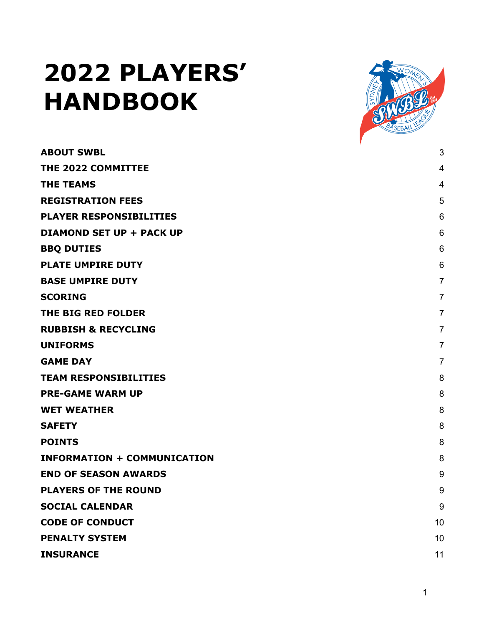# **2022 PLAYERS' HANDBOOK**



| <b>ABOUT SWBL</b>                  | 3              |
|------------------------------------|----------------|
| THE 2022 COMMITTEE                 | $\overline{4}$ |
| <b>THE TEAMS</b>                   | 4              |
| <b>REGISTRATION FEES</b>           | 5              |
| <b>PLAYER RESPONSIBILITIES</b>     | 6              |
| <b>DIAMOND SET UP + PACK UP</b>    | 6              |
| <b>BBQ DUTIES</b>                  | 6              |
| <b>PLATE UMPIRE DUTY</b>           | 6              |
| <b>BASE UMPIRE DUTY</b>            | $\overline{7}$ |
| <b>SCORING</b>                     | $\overline{7}$ |
| THE BIG RED FOLDER                 | $\overline{7}$ |
| <b>RUBBISH &amp; RECYCLING</b>     | $\overline{7}$ |
| <b>UNIFORMS</b>                    | $\overline{7}$ |
| <b>GAME DAY</b>                    | $\overline{7}$ |
| <b>TEAM RESPONSIBILITIES</b>       | 8              |
| <b>PRE-GAME WARM UP</b>            | 8              |
| <b>WET WEATHER</b>                 | 8              |
| <b>SAFETY</b>                      | 8              |
| <b>POINTS</b>                      | 8              |
| <b>INFORMATION + COMMUNICATION</b> | 8              |
| <b>END OF SEASON AWARDS</b>        | 9              |
| <b>PLAYERS OF THE ROUND</b>        | 9              |
| <b>SOCIAL CALENDAR</b>             | 9              |
| <b>CODE OF CONDUCT</b>             | 10             |
| <b>PENALTY SYSTEM</b>              | 10             |
| <b>INSURANCE</b>                   | 11             |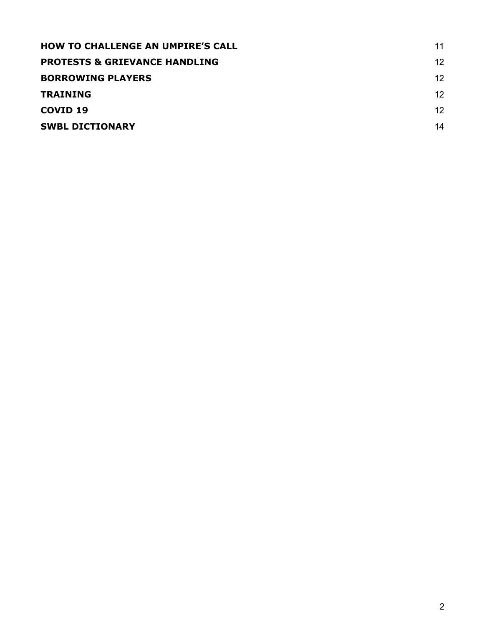| <b>HOW TO CHALLENGE AN UMPIRE'S CALL</b> | 11 |
|------------------------------------------|----|
| <b>PROTESTS &amp; GRIEVANCE HANDLING</b> | 12 |
| <b>BORROWING PLAYERS</b>                 | 12 |
| <b>TRAINING</b>                          | 12 |
| COVID <sub>19</sub>                      | 12 |
| <b>SWBL DICTIONARY</b>                   | 14 |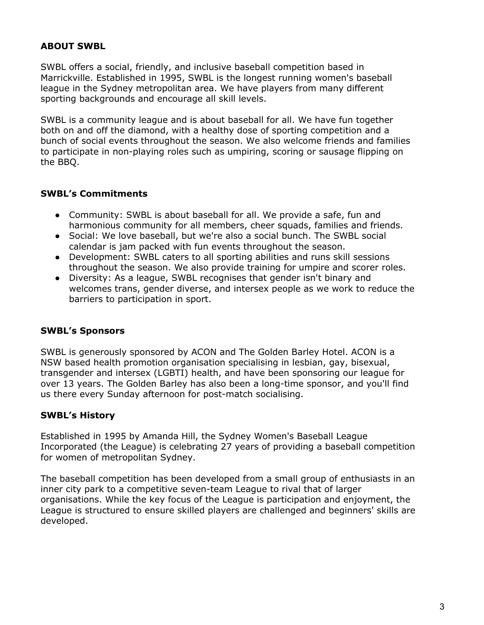## **ABOUT SWBL**

SWBL offers a social, friendly, and inclusive baseball competition based in Marrickville. Established in 1995, SWBL is the longest running women's baseball league in the Sydney metropolitan area. We have players from many different sporting backgrounds and encourage all skill levels.

SWBL is a community league and is about baseball for all. We have fun together both on and off the diamond, with a healthy dose of sporting competition and a bunch of social events throughout the season. We also welcome friends and families to participate in non-playing roles such as umpiring, scoring or sausage flipping on the BBQ.

## **SWBL's Commitments**

- Community: SWBL is about baseball for all. We provide a safe, fun and harmonious community for all members, cheer squads, families and friends.
- Social: We love baseball, but we're also a social bunch. The SWBL social calendar is jam packed with fun events throughout the season.
- Development: SWBL caters to all sporting abilities and runs skill sessions throughout the season. We also provide training for umpire and scorer roles.
- Diversity: As a league, SWBL recognises that gender isn't binary and welcomes trans, gender diverse, and intersex people as we work to reduce the barriers to participation in sport.

## **SWBL's Sponsors**

SWBL is generously sponsored by ACON and The Golden Barley Hotel. ACON is a NSW based health promotion organisation specialising in lesbian, gay, bisexual, transgender and intersex (LGBTI) health, and have been sponsoring our league for over 13 years. The Golden Barley has also been a long-time sponsor, and you'll find us there every Sunday afternoon for post-match socialising.

## **SWBL's History**

Established in 1995 by Amanda Hill, the Sydney Women's Baseball League Incorporated (the League) is celebrating 27 years of providing a baseball competition for women of metropolitan Sydney.

The baseball competition has been developed from a small group of enthusiasts in an inner city park to a competitive seven-team League to rival that of larger organisations. While the key focus of the League is participation and enjoyment, the League is structured to ensure skilled players are challenged and beginners' skills are developed.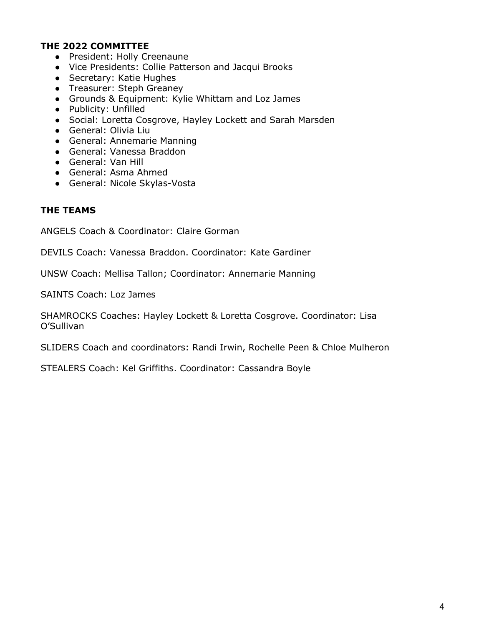#### **THE 2022 COMMITTEE**

- President: Holly Creenaune
- Vice Presidents: Collie Patterson and Jacqui Brooks
- Secretary: Katie Hughes
- Treasurer: Steph Greaney
- Grounds & Equipment: Kylie Whittam and Loz James
- Publicity: Unfilled
- Social: Loretta Cosgrove, Hayley Lockett and Sarah Marsden
- General: Olivia Liu
- General: Annemarie Manning
- General: Vanessa Braddon
- General: Van Hill
- General: Asma Ahmed
- General: Nicole Skylas-Vosta

#### **THE TEAMS**

ANGELS Coach & Coordinator: Claire Gorman

DEVILS Coach: Vanessa Braddon. Coordinator: Kate Gardiner

UNSW Coach: Mellisa Tallon; Coordinator: Annemarie Manning

SAINTS Coach: Loz James

SHAMROCKS Coaches: Hayley Lockett & Loretta Cosgrove. Coordinator: Lisa O'Sullivan

SLIDERS Coach and coordinators: Randi Irwin, Rochelle Peen & Chloe Mulheron

STEALERS Coach: Kel Griffiths. Coordinator: Cassandra Boyle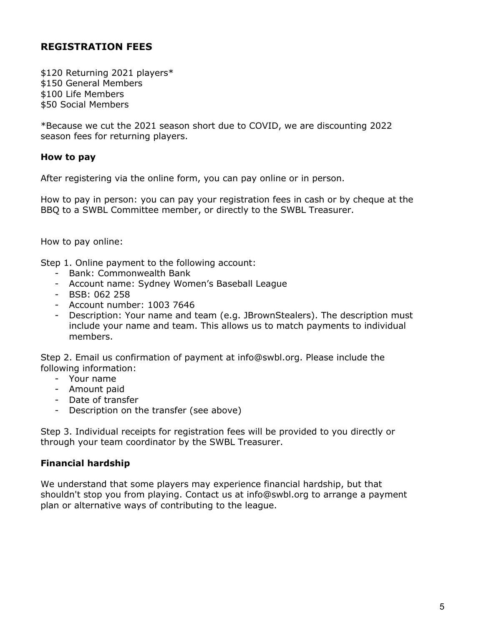# **REGISTRATION FEES**

\$120 Returning 2021 players\* \$150 General Members \$100 Life Members \$50 Social Members

\*Because we cut the 2021 season short due to COVID, we are discounting 2022 season fees for returning players.

#### **How to pay**

After registering via the online form, you can pay online or in person.

How to pay in person: you can pay your registration fees in cash or by cheque at the BBQ to a SWBL Committee member, or directly to the SWBL Treasurer.

How to pay online:

Step 1. Online payment to the following account:

- Bank: Commonwealth Bank
- Account name: Sydney Women's Baseball League
- BSB: 062 258
- Account number: 1003 7646
- Description: Your name and team (e.g. JBrownStealers). The description must include your name and team. This allows us to match payments to individual members.

Step 2. Email us confirmation of payment at info@swbl.org. Please include the following information:

- Your name
- Amount paid
- Date of transfer
- Description on the transfer (see above)

Step 3. Individual receipts for registration fees will be provided to you directly or through your team coordinator by the SWBL Treasurer.

## **Financial hardship**

We understand that some players may experience financial hardship, but that shouldn't stop you from playing. Contact us at info@swbl.org to arrange a payment plan or alternative ways of contributing to the league.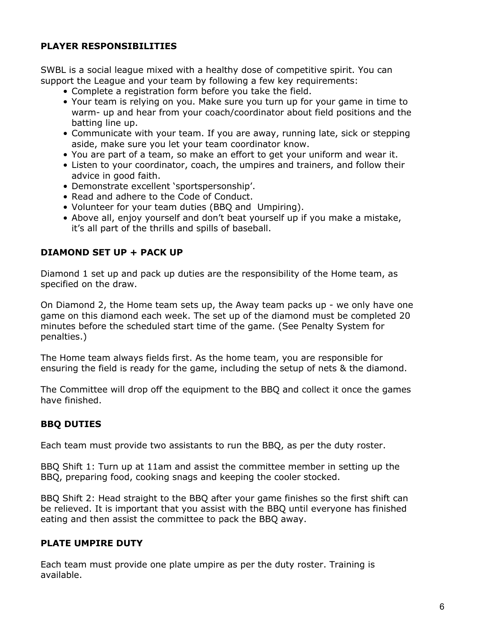# **PLAYER RESPONSIBILITIES**

SWBL is a social league mixed with a healthy dose of competitive spirit. You can support the League and your team by following a few key requirements:

- Complete a registration form before you take the field.
- Your team is relying on you. Make sure you turn up for your game in time to warm- up and hear from your coach/coordinator about field positions and the batting line up.
- Communicate with your team. If you are away, running late, sick or stepping aside, make sure you let your team coordinator know.
- You are part of a team, so make an effort to get your uniform and wear it.
- Listen to your coordinator, coach, the umpires and trainers, and follow their advice in good faith.
- Demonstrate excellent 'sportspersonship'.
- Read and adhere to the Code of Conduct.
- Volunteer for your team duties (BBQ and Umpiring).
- Above all, enjoy yourself and don't beat yourself up if you make a mistake, it's all part of the thrills and spills of baseball.

## **DIAMOND SET UP + PACK UP**

Diamond 1 set up and pack up duties are the responsibility of the Home team, as specified on the draw.

On Diamond 2, the Home team sets up, the Away team packs up - we only have one game on this diamond each week. The set up of the diamond must be completed 20 minutes before the scheduled start time of the game. (See Penalty System for penalties.)

The Home team always fields first. As the home team, you are responsible for ensuring the field is ready for the game, including the setup of nets & the diamond.

The Committee will drop off the equipment to the BBQ and collect it once the games have finished.

# **BBQ DUTIES**

Each team must provide two assistants to run the BBQ, as per the duty roster.

BBQ Shift 1: Turn up at 11am and assist the committee member in setting up the BBQ, preparing food, cooking snags and keeping the cooler stocked.

BBQ Shift 2: Head straight to the BBQ after your game finishes so the first shift can be relieved. It is important that you assist with the BBQ until everyone has finished eating and then assist the committee to pack the BBQ away.

# **PLATE UMPIRE DUTY**

Each team must provide one plate umpire as per the duty roster. Training is available.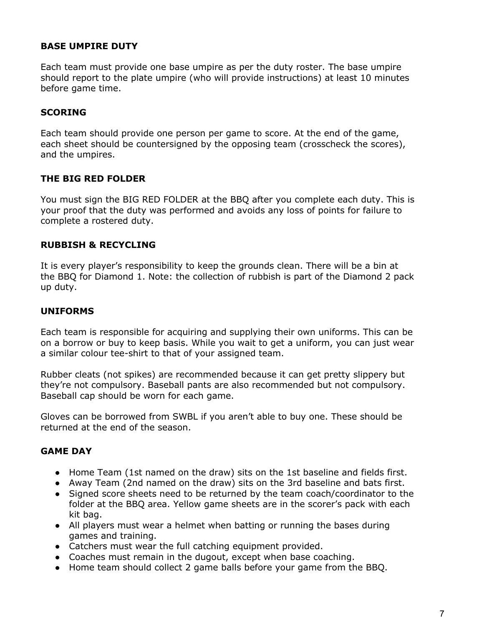## **BASE UMPIRE DUTY**

Each team must provide one base umpire as per the duty roster. The base umpire should report to the plate umpire (who will provide instructions) at least 10 minutes before game time.

## **SCORING**

Each team should provide one person per game to score. At the end of the game, each sheet should be countersigned by the opposing team (crosscheck the scores), and the umpires.

## **THE BIG RED FOLDER**

You must sign the BIG RED FOLDER at the BBQ after you complete each duty. This is your proof that the duty was performed and avoids any loss of points for failure to complete a rostered duty.

#### **RUBBISH & RECYCLING**

It is every player's responsibility to keep the grounds clean. There will be a bin at the BBQ for Diamond 1. Note: the collection of rubbish is part of the Diamond 2 pack up duty.

#### **UNIFORMS**

Each team is responsible for acquiring and supplying their own uniforms. This can be on a borrow or buy to keep basis. While you wait to get a uniform, you can just wear a similar colour tee-shirt to that of your assigned team.

Rubber cleats (not spikes) are recommended because it can get pretty slippery but they're not compulsory. Baseball pants are also recommended but not compulsory. Baseball cap should be worn for each game.

Gloves can be borrowed from SWBL if you aren't able to buy one. These should be returned at the end of the season.

#### **GAME DAY**

- Home Team (1st named on the draw) sits on the 1st baseline and fields first.
- Away Team (2nd named on the draw) sits on the 3rd baseline and bats first.
- Signed score sheets need to be returned by the team coach/coordinator to the folder at the BBQ area. Yellow game sheets are in the scorer's pack with each kit bag.
- All players must wear a helmet when batting or running the bases during games and training.
- Catchers must wear the full catching equipment provided.
- Coaches must remain in the dugout, except when base coaching.
- Home team should collect 2 game balls before your game from the BBQ.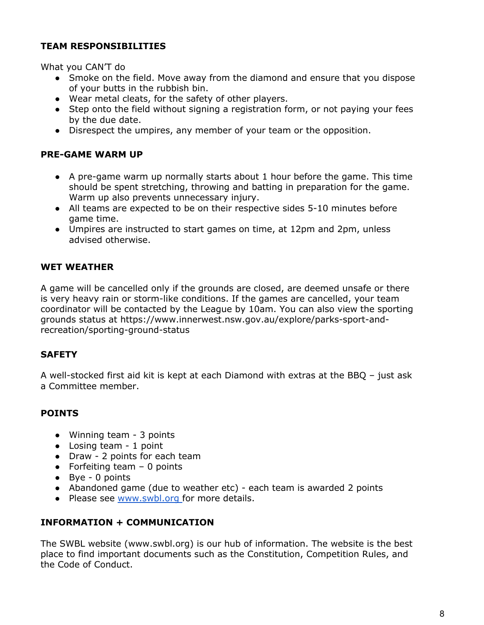# **TEAM RESPONSIBILITIES**

What you CAN'T do

- Smoke on the field. Move away from the diamond and ensure that you dispose of your butts in the rubbish bin.
- Wear metal cleats, for the safety of other players.
- Step onto the field without signing a registration form, or not paying your fees by the due date.
- Disrespect the umpires, any member of your team or the opposition.

# **PRE-GAME WARM UP**

- A pre-game warm up normally starts about 1 hour before the game. This time should be spent stretching, throwing and batting in preparation for the game. Warm up also prevents unnecessary injury.
- All teams are expected to be on their respective sides 5-10 minutes before game time.
- Umpires are instructed to start games on time, at 12pm and 2pm, unless advised otherwise.

# **WET WEATHER**

A game will be cancelled only if the grounds are closed, are deemed unsafe or there is very heavy rain or storm-like conditions. If the games are cancelled, your team coordinator will be contacted by the League by 10am. You can also view the sporting grounds status at https://www.innerwest.nsw.gov.au/explore/parks-sport-andrecreation/sporting-ground-status

# **SAFETY**

A well-stocked first aid kit is kept at each Diamond with extras at the BBQ – just ask a Committee member.

# **POINTS**

- Winning team 3 points
- Losing team 1 point
- Draw 2 points for each team
- Forfeiting team  $-$  0 points
- Bye 0 points
- Abandoned game (due to weather etc) each team is awarded 2 points
- Please see www.swbl.org for more details.

# **INFORMATION + COMMUNICATION**

The SWBL website (www.swbl.org) is our hub of information. The website is the best place to find important documents such as the Constitution, Competition Rules, and the Code of Conduct.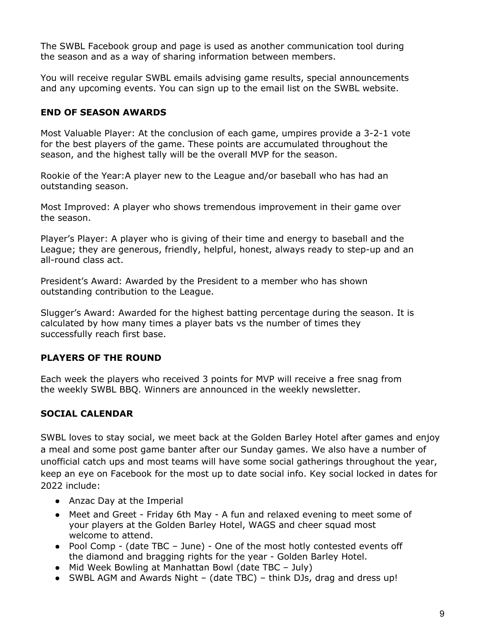The SWBL Facebook group and page is used as another communication tool during the season and as a way of sharing information between members.

You will receive regular SWBL emails advising game results, special announcements and any upcoming events. You can sign up to the email list on the SWBL website.

# **END OF SEASON AWARDS**

Most Valuable Player: At the conclusion of each game, umpires provide a 3-2-1 vote for the best players of the game. These points are accumulated throughout the season, and the highest tally will be the overall MVP for the season.

Rookie of the Year:A player new to the League and/or baseball who has had an outstanding season.

Most Improved: A player who shows tremendous improvement in their game over the season.

Player's Player: A player who is giving of their time and energy to baseball and the League; they are generous, friendly, helpful, honest, always ready to step-up and an all-round class act.

President's Award: Awarded by the President to a member who has shown outstanding contribution to the League.

Slugger's Award: Awarded for the highest batting percentage during the season. It is calculated by how many times a player bats vs the number of times they successfully reach first base.

# **PLAYERS OF THE ROUND**

Each week the players who received 3 points for MVP will receive a free snag from the weekly SWBL BBQ. Winners are announced in the weekly newsletter.

# **SOCIAL CALENDAR**

SWBL loves to stay social, we meet back at the Golden Barley Hotel after games and enjoy a meal and some post game banter after our Sunday games. We also have a number of unofficial catch ups and most teams will have some social gatherings throughout the year, keep an eye on Facebook for the most up to date social info. Key social locked in dates for 2022 include:

- Anzac Day at the Imperial
- Meet and Greet Friday 6th May A fun and relaxed evening to meet some of your players at the Golden Barley Hotel, WAGS and cheer squad most welcome to attend.
- Pool Comp (date TBC June) One of the most hotly contested events off the diamond and bragging rights for the year - Golden Barley Hotel.
- Mid Week Bowling at Manhattan Bowl (date TBC July)
- SWBL AGM and Awards Night (date TBC) think DJs, drag and dress up!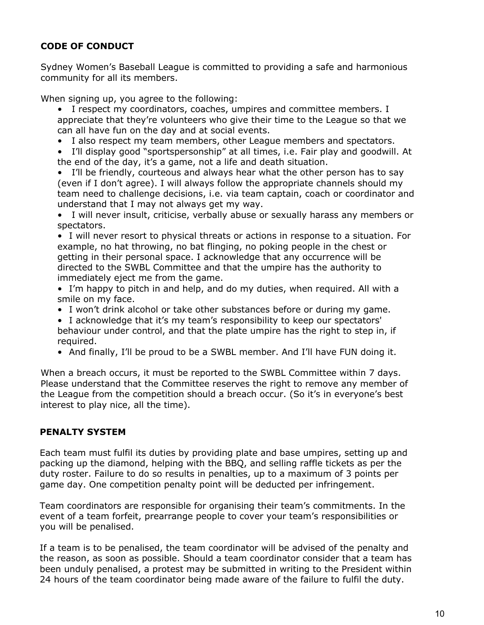# **CODE OF CONDUCT**

Sydney Women's Baseball League is committed to providing a safe and harmonious community for all its members.

When signing up, you agree to the following:

- I respect my coordinators, coaches, umpires and committee members. I appreciate that they're volunteers who give their time to the League so that we can all have fun on the day and at social events.
- I also respect my team members, other League members and spectators.
- I'll display good "sportspersonship" at all times, i.e. Fair play and goodwill. At the end of the day, it's a game, not a life and death situation.
- I'll be friendly, courteous and always hear what the other person has to say (even if I don't agree). I will always follow the appropriate channels should my team need to challenge decisions, i.e. via team captain, coach or coordinator and understand that I may not always get my way.
- I will never insult, criticise, verbally abuse or sexually harass any members or spectators.
- I will never resort to physical threats or actions in response to a situation. For example, no hat throwing, no bat flinging, no poking people in the chest or getting in their personal space. I acknowledge that any occurrence will be directed to the SWBL Committee and that the umpire has the authority to immediately eject me from the game.
- I'm happy to pitch in and help, and do my duties, when required. All with a smile on my face.
- I won't drink alcohol or take other substances before or during my game.
- I acknowledge that it's my team's responsibility to keep our spectators' behaviour under control, and that the plate umpire has the right to step in, if required.
- And finally, I'll be proud to be a SWBL member. And I'll have FUN doing it.

When a breach occurs, it must be reported to the SWBL Committee within 7 days. Please understand that the Committee reserves the right to remove any member of the League from the competition should a breach occur. (So it's in everyone's best interest to play nice, all the time).

# **PENALTY SYSTEM**

Each team must fulfil its duties by providing plate and base umpires, setting up and packing up the diamond, helping with the BBQ, and selling raffle tickets as per the duty roster. Failure to do so results in penalties, up to a maximum of 3 points per game day. One competition penalty point will be deducted per infringement.

Team coordinators are responsible for organising their team's commitments. In the event of a team forfeit, prearrange people to cover your team's responsibilities or you will be penalised.

If a team is to be penalised, the team coordinator will be advised of the penalty and the reason, as soon as possible. Should a team coordinator consider that a team has been unduly penalised, a protest may be submitted in writing to the President within 24 hours of the team coordinator being made aware of the failure to fulfil the duty.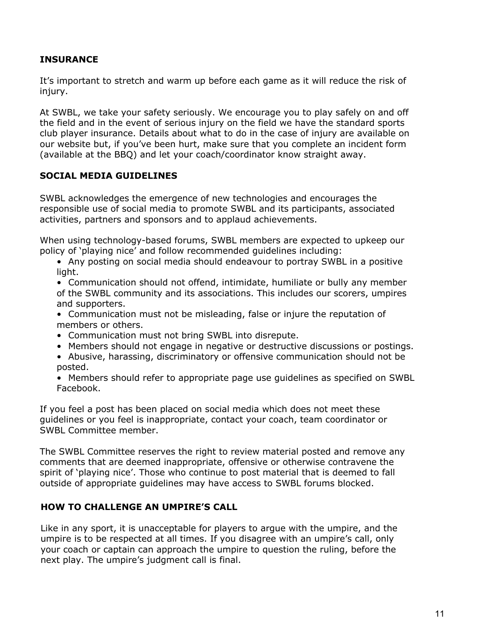# **INSURANCE**

It's important to stretch and warm up before each game as it will reduce the risk of injury.

At SWBL, we take your safety seriously. We encourage you to play safely on and off the field and in the event of serious injury on the field we have the standard sports club player insurance. Details about what to do in the case of injury are available on our website but, if you've been hurt, make sure that you complete an incident form (available at the BBQ) and let your coach/coordinator know straight away.

## **SOCIAL MEDIA GUIDELINES**

SWBL acknowledges the emergence of new technologies and encourages the responsible use of social media to promote SWBL and its participants, associated activities, partners and sponsors and to applaud achievements.

When using technology-based forums, SWBL members are expected to upkeep our policy of 'playing nice' and follow recommended guidelines including:

• Any posting on social media should endeavour to portray SWBL in a positive light.

• Communication should not offend, intimidate, humiliate or bully any member of the SWBL community and its associations. This includes our scorers, umpires and supporters.

• Communication must not be misleading, false or injure the reputation of members or others.

- Communication must not bring SWBL into disrepute.
- Members should not engage in negative or destructive discussions or postings.
- Abusive, harassing, discriminatory or offensive communication should not be posted.

• Members should refer to appropriate page use guidelines as specified on SWBL Facebook.

If you feel a post has been placed on social media which does not meet these guidelines or you feel is inappropriate, contact your coach, team coordinator or SWBL Committee member.

The SWBL Committee reserves the right to review material posted and remove any comments that are deemed inappropriate, offensive or otherwise contravene the spirit of 'playing nice'. Those who continue to post material that is deemed to fall outside of appropriate guidelines may have access to SWBL forums blocked.

# **HOW TO CHALLENGE AN UMPIRE'S CALL**

Like in any sport, it is unacceptable for players to argue with the umpire, and the umpire is to be respected at all times. If you disagree with an umpire's call, only your coach or captain can approach the umpire to question the ruling, before the next play. The umpire's judgment call is final.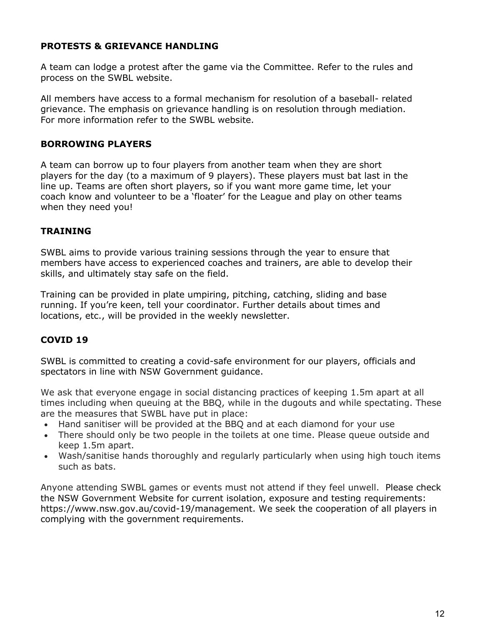## **PROTESTS & GRIEVANCE HANDLING**

A team can lodge a protest after the game via the Committee. Refer to the rules and process on the SWBL website.

All members have access to a formal mechanism for resolution of a baseball- related grievance. The emphasis on grievance handling is on resolution through mediation. For more information refer to the SWBL website.

## **BORROWING PLAYERS**

A team can borrow up to four players from another team when they are short players for the day (to a maximum of 9 players). These players must bat last in the line up. Teams are often short players, so if you want more game time, let your coach know and volunteer to be a 'floater' for the League and play on other teams when they need you!

# **TRAINING**

SWBL aims to provide various training sessions through the year to ensure that members have access to experienced coaches and trainers, are able to develop their skills, and ultimately stay safe on the field.

Training can be provided in plate umpiring, pitching, catching, sliding and base running. If you're keen, tell your coordinator. Further details about times and locations, etc., will be provided in the weekly newsletter.

# **COVID 19**

SWBL is committed to creating a covid-safe environment for our players, officials and spectators in line with NSW Government guidance.

We ask that everyone engage in social distancing practices of keeping 1.5m apart at all times including when queuing at the BBQ, while in the dugouts and while spectating. These are the measures that SWBL have put in place:

- Hand sanitiser will be provided at the BBQ and at each diamond for your use
- There should only be two people in the toilets at one time. Please queue outside and keep 1.5m apart.
- Wash/sanitise hands thoroughly and regularly particularly when using high touch items such as bats.

Anyone attending SWBL games or events must not attend if they feel unwell. Please check the NSW Government Website for current isolation, exposure and testing requirements: https://www.nsw.gov.au/covid-19/management. We seek the cooperation of all players in complying with the government requirements.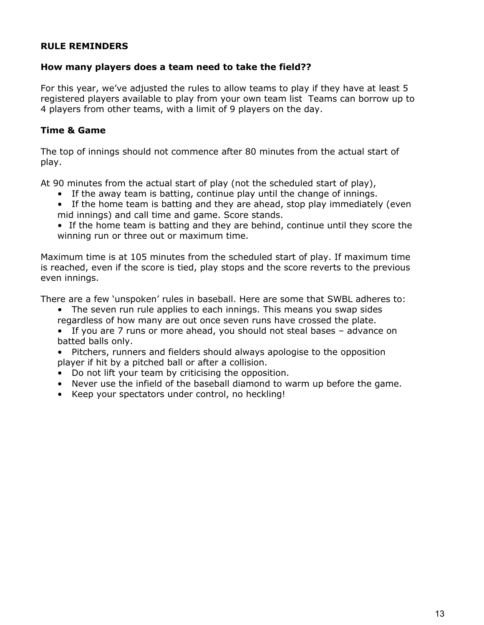## **RULE REMINDERS**

#### **How many players does a team need to take the field??**

For this year, we've adjusted the rules to allow teams to play if they have at least 5 registered players available to play from your own team list Teams can borrow up to 4 players from other teams, with a limit of 9 players on the day.

#### **Time & Game**

The top of innings should not commence after 80 minutes from the actual start of play.

At 90 minutes from the actual start of play (not the scheduled start of play),

- If the away team is batting, continue play until the change of innings.
- If the home team is batting and they are ahead, stop play immediately (even mid innings) and call time and game. Score stands.
- If the home team is batting and they are behind, continue until they score the winning run or three out or maximum time.

Maximum time is at 105 minutes from the scheduled start of play. If maximum time is reached, even if the score is tied, play stops and the score reverts to the previous even innings.

There are a few 'unspoken' rules in baseball. Here are some that SWBL adheres to:

- The seven run rule applies to each innings. This means you swap sides regardless of how many are out once seven runs have crossed the plate.
- If you are 7 runs or more ahead, you should not steal bases advance on batted balls only.
- Pitchers, runners and fielders should always apologise to the opposition player if hit by a pitched ball or after a collision.
- Do not lift your team by criticising the opposition.
- Never use the infield of the baseball diamond to warm up before the game.
- Keep your spectators under control, no heckling!